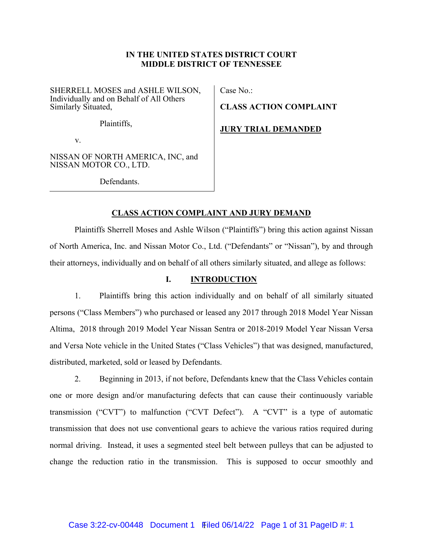# **IN THE UNITED STATES DISTRICT COURT MIDDLE DISTRICT OF TENNESSEE**

SHERRELL MOSES and ASHLE WILSON, Individually and on Behalf of All Others Similarly Situated,

Plaintiffs,

v.

NISSAN OF NORTH AMERICA, INC, and NISSAN MOTOR CO., LTD.

Defendants.

Case No.:

**CLASS ACTION COMPLAINT** 

**JURY TRIAL DEMANDED** 

# **CLASS ACTION COMPLAINT AND JURY DEMAND**

Plaintiffs Sherrell Moses and Ashle Wilson ("Plaintiffs") bring this action against Nissan of North America, Inc. and Nissan Motor Co., Ltd. ("Defendants" or "Nissan"), by and through their attorneys, individually and on behalf of all others similarly situated, and allege as follows:

# **I. INTRODUCTION**

1. Plaintiffs bring this action individually and on behalf of all similarly situated persons ("Class Members") who purchased or leased any 2017 through 2018 Model Year Nissan Altima, 2018 through 2019 Model Year Nissan Sentra or 2018-2019 Model Year Nissan Versa and Versa Note vehicle in the United States ("Class Vehicles") that was designed, manufactured, distributed, marketed, sold or leased by Defendants.

2. Beginning in 2013, if not before, Defendants knew that the Class Vehicles contain one or more design and/or manufacturing defects that can cause their continuously variable transmission ("CVT") to malfunction ("CVT Defect"). A "CVT" is a type of automatic transmission that does not use conventional gears to achieve the various ratios required during normal driving. Instead, it uses a segmented steel belt between pulleys that can be adjusted to change the reduction ratio in the transmission. This is supposed to occur smoothly and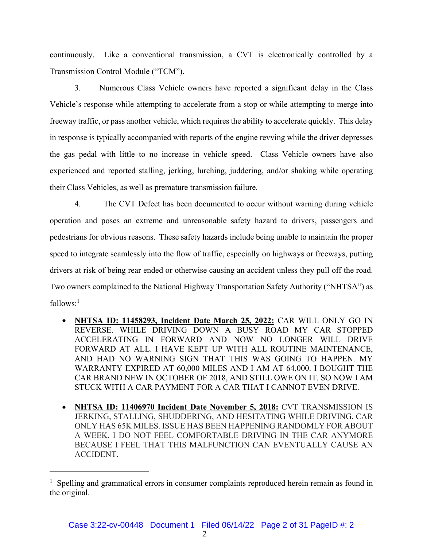continuously. Like a conventional transmission, a CVT is electronically controlled by a Transmission Control Module ("TCM").

3. Numerous Class Vehicle owners have reported a significant delay in the Class Vehicle's response while attempting to accelerate from a stop or while attempting to merge into freeway traffic, or pass another vehicle, which requires the ability to accelerate quickly. This delay in response is typically accompanied with reports of the engine revving while the driver depresses the gas pedal with little to no increase in vehicle speed. Class Vehicle owners have also experienced and reported stalling, jerking, lurching, juddering, and/or shaking while operating their Class Vehicles, as well as premature transmission failure.

4. The CVT Defect has been documented to occur without warning during vehicle operation and poses an extreme and unreasonable safety hazard to drivers, passengers and pedestrians for obvious reasons. These safety hazards include being unable to maintain the proper speed to integrate seamlessly into the flow of traffic, especially on highways or freeways, putting drivers at risk of being rear ended or otherwise causing an accident unless they pull off the road. Two owners complained to the National Highway Transportation Safety Authority ("NHTSA") as  $follows$ <sup>1</sup>

- **NHTSA ID: 11458293, Incident Date March 25, 2022:** CAR WILL ONLY GO IN REVERSE. WHILE DRIVING DOWN A BUSY ROAD MY CAR STOPPED ACCELERATING IN FORWARD AND NOW NO LONGER WILL DRIVE FORWARD AT ALL. I HAVE KEPT UP WITH ALL ROUTINE MAINTENANCE, AND HAD NO WARNING SIGN THAT THIS WAS GOING TO HAPPEN. MY WARRANTY EXPIRED AT 60,000 MILES AND I AM AT 64,000. I BOUGHT THE CAR BRAND NEW IN OCTOBER OF 2018, AND STILL OWE ON IT. SO NOW I AM STUCK WITH A CAR PAYMENT FOR A CAR THAT I CANNOT EVEN DRIVE.
- **NHTSA ID: 11406970 Incident Date November 5, 2018:** CVT TRANSMISSION IS JERKING, STALLING, SHUDDERING, AND HESITATING WHILE DRIVING. CAR ONLY HAS 65K MILES. ISSUE HAS BEEN HAPPENING RANDOMLY FOR ABOUT A WEEK. I DO NOT FEEL COMFORTABLE DRIVING IN THE CAR ANYMORE BECAUSE I FEEL THAT THIS MALFUNCTION CAN EVENTUALLY CAUSE AN ACCIDENT.

<sup>&</sup>lt;sup>1</sup> Spelling and grammatical errors in consumer complaints reproduced herein remain as found in the original.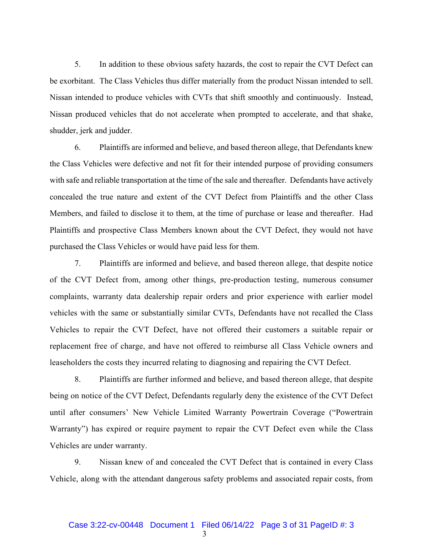5. In addition to these obvious safety hazards, the cost to repair the CVT Defect can be exorbitant. The Class Vehicles thus differ materially from the product Nissan intended to sell. Nissan intended to produce vehicles with CVTs that shift smoothly and continuously. Instead, Nissan produced vehicles that do not accelerate when prompted to accelerate, and that shake, shudder, jerk and judder.

6. Plaintiffs are informed and believe, and based thereon allege, that Defendants knew the Class Vehicles were defective and not fit for their intended purpose of providing consumers with safe and reliable transportation at the time of the sale and thereafter. Defendants have actively concealed the true nature and extent of the CVT Defect from Plaintiffs and the other Class Members, and failed to disclose it to them, at the time of purchase or lease and thereafter. Had Plaintiffs and prospective Class Members known about the CVT Defect, they would not have purchased the Class Vehicles or would have paid less for them.

7. Plaintiffs are informed and believe, and based thereon allege, that despite notice of the CVT Defect from, among other things, pre-production testing, numerous consumer complaints, warranty data dealership repair orders and prior experience with earlier model vehicles with the same or substantially similar CVTs, Defendants have not recalled the Class Vehicles to repair the CVT Defect, have not offered their customers a suitable repair or replacement free of charge, and have not offered to reimburse all Class Vehicle owners and leaseholders the costs they incurred relating to diagnosing and repairing the CVT Defect.

8. Plaintiffs are further informed and believe, and based thereon allege, that despite being on notice of the CVT Defect, Defendants regularly deny the existence of the CVT Defect until after consumers' New Vehicle Limited Warranty Powertrain Coverage ("Powertrain Warranty") has expired or require payment to repair the CVT Defect even while the Class Vehicles are under warranty.

9. Nissan knew of and concealed the CVT Defect that is contained in every Class Vehicle, along with the attendant dangerous safety problems and associated repair costs, from

3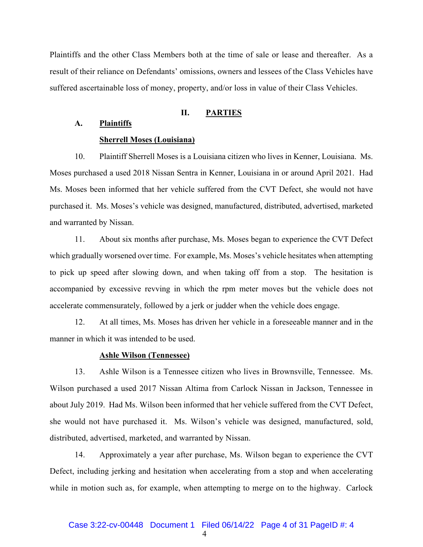Plaintiffs and the other Class Members both at the time of sale or lease and thereafter. As a result of their reliance on Defendants' omissions, owners and lessees of the Class Vehicles have suffered ascertainable loss of money, property, and/or loss in value of their Class Vehicles.

#### **II. PARTIES**

## **A. Plaintiffs**

#### **Sherrell Moses (Louisiana)**

10. Plaintiff Sherrell Moses is a Louisiana citizen who lives in Kenner, Louisiana. Ms. Moses purchased a used 2018 Nissan Sentra in Kenner, Louisiana in or around April 2021. Had Ms. Moses been informed that her vehicle suffered from the CVT Defect, she would not have purchased it. Ms. Moses's vehicle was designed, manufactured, distributed, advertised, marketed and warranted by Nissan.

11. About six months after purchase, Ms. Moses began to experience the CVT Defect which gradually worsened over time. For example, Ms. Moses's vehicle hesitates when attempting to pick up speed after slowing down, and when taking off from a stop. The hesitation is accompanied by excessive revving in which the rpm meter moves but the vehicle does not accelerate commensurately, followed by a jerk or judder when the vehicle does engage.

12. At all times, Ms. Moses has driven her vehicle in a foreseeable manner and in the manner in which it was intended to be used.

## **Ashle Wilson (Tennessee)**

13. Ashle Wilson is a Tennessee citizen who lives in Brownsville, Tennessee. Ms. Wilson purchased a used 2017 Nissan Altima from Carlock Nissan in Jackson, Tennessee in about July 2019. Had Ms. Wilson been informed that her vehicle suffered from the CVT Defect, she would not have purchased it. Ms. Wilson's vehicle was designed, manufactured, sold, distributed, advertised, marketed, and warranted by Nissan.

14. Approximately a year after purchase, Ms. Wilson began to experience the CVT Defect, including jerking and hesitation when accelerating from a stop and when accelerating while in motion such as, for example, when attempting to merge on to the highway. Carlock

4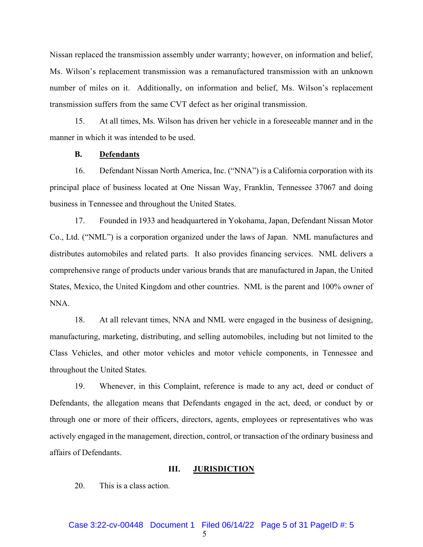Nissan replaced the transmission assembly under warranty; however, on information and belief, Ms. Wilson's replacement transmission was a remanufactured transmission with an unknown number of miles on it. Additionally, on information and belief, Ms. Wilson's replacement transmission suffers from the same CVT defect as her original transmission.

15. At all times, Ms. Wilson has driven her vehicle in a foreseeable manner and in the manner in which it was intended to be used.

#### **B. Defendants**

16. Defendant Nissan North America, Inc. ("NNA") is a California corporation with its principal place of business located at One Nissan Way, Franklin, Tennessee 37067 and doing business in Tennessee and throughout the United States.

17. Founded in 1933 and headquartered in Yokohama, Japan, Defendant Nissan Motor Co., Ltd. ("NML") is a corporation organized under the laws of Japan. NML manufactures and distributes automobiles and related parts. It also provides financing services. NML delivers a comprehensive range of products under various brands that are manufactured in Japan, the United States, Mexico, the United Kingdom and other countries. NML is the parent and 100% owner of NNA.

18. At all relevant times, NNA and NML were engaged in the business of designing, manufacturing, marketing, distributing, and selling automobiles, including but not limited to the Class Vehicles, and other motor vehicles and motor vehicle components, in Tennessee and throughout the United States.

19. Whenever, in this Complaint, reference is made to any act, deed or conduct of Defendants, the allegation means that Defendants engaged in the act, deed, or conduct by or through one or more of their officers, directors, agents, employees or representatives who was actively engaged in the management, direction, control, or transaction of the ordinary business and affairs of Defendants.

## **III. JURISDICTION**

20. This is a class action.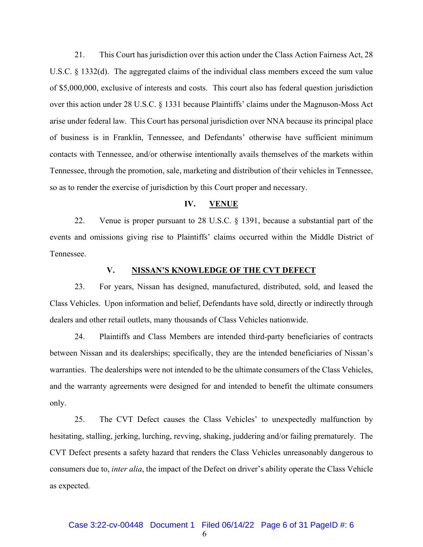21. This Court has jurisdiction over this action under the Class Action Fairness Act, 28 U.S.C. § 1332(d). The aggregated claims of the individual class members exceed the sum value of \$5,000,000, exclusive of interests and costs. This court also has federal question jurisdiction over this action under 28 U.S.C. § 1331 because Plaintiffs' claims under the Magnuson-Moss Act arise under federal law. This Court has personal jurisdiction over NNA because its principal place of business is in Franklin, Tennessee, and Defendants' otherwise have sufficient minimum contacts with Tennessee, and/or otherwise intentionally avails themselves of the markets within Tennessee, through the promotion, sale, marketing and distribution of their vehicles in Tennessee, so as to render the exercise of jurisdiction by this Court proper and necessary.

#### **IV. VENUE**

22. Venue is proper pursuant to 28 U.S.C. § 1391, because a substantial part of the events and omissions giving rise to Plaintiffs' claims occurred within the Middle District of Tennessee.

## **V. NISSAN'S KNOWLEDGE OF THE CVT DEFECT**

23. For years, Nissan has designed, manufactured, distributed, sold, and leased the Class Vehicles. Upon information and belief, Defendants have sold, directly or indirectly through dealers and other retail outlets, many thousands of Class Vehicles nationwide.

24. Plaintiffs and Class Members are intended third-party beneficiaries of contracts between Nissan and its dealerships; specifically, they are the intended beneficiaries of Nissan's warranties. The dealerships were not intended to be the ultimate consumers of the Class Vehicles, and the warranty agreements were designed for and intended to benefit the ultimate consumers only.

25. The CVT Defect causes the Class Vehicles' to unexpectedly malfunction by hesitating, stalling, jerking, lurching, revving, shaking, juddering and/or failing prematurely. The CVT Defect presents a safety hazard that renders the Class Vehicles unreasonably dangerous to consumers due to, *inter alia*, the impact of the Defect on driver's ability operate the Class Vehicle as expected.

6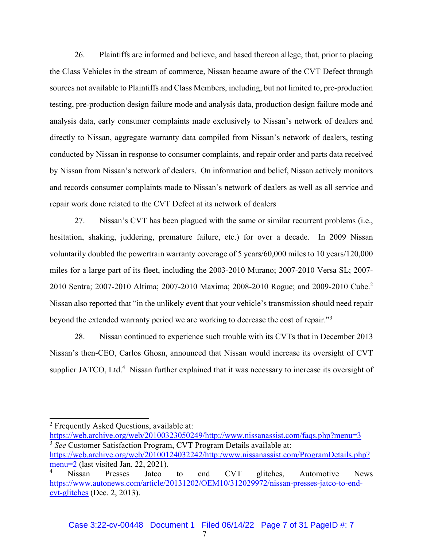26. Plaintiffs are informed and believe, and based thereon allege, that, prior to placing the Class Vehicles in the stream of commerce, Nissan became aware of the CVT Defect through sources not available to Plaintiffs and Class Members, including, but not limited to, pre-production testing, pre-production design failure mode and analysis data, production design failure mode and analysis data, early consumer complaints made exclusively to Nissan's network of dealers and directly to Nissan, aggregate warranty data compiled from Nissan's network of dealers, testing conducted by Nissan in response to consumer complaints, and repair order and parts data received by Nissan from Nissan's network of dealers. On information and belief, Nissan actively monitors and records consumer complaints made to Nissan's network of dealers as well as all service and repair work done related to the CVT Defect at its network of dealers

27. Nissan's CVT has been plagued with the same or similar recurrent problems (i.e., hesitation, shaking, juddering, premature failure, etc.) for over a decade. In 2009 Nissan voluntarily doubled the powertrain warranty coverage of 5 years/60,000 miles to 10 years/120,000 miles for a large part of its fleet, including the 2003-2010 Murano; 2007-2010 Versa SL; 2007- 2010 Sentra; 2007-2010 Altima; 2007-2010 Maxima; 2008-2010 Rogue; and 2009-2010 Cube.2 Nissan also reported that "in the unlikely event that your vehicle's transmission should need repair beyond the extended warranty period we are working to decrease the cost of repair."3

28. Nissan continued to experience such trouble with its CVTs that in December 2013 Nissan's then-CEO, Carlos Ghosn, announced that Nissan would increase its oversight of CVT supplier JATCO, Ltd.<sup>4</sup> Nissan further explained that it was necessary to increase its oversight of

https://web.archive.org/web/20100323050249/http://www.nissanassist.com/faqs.php?menu=3 3 *See* Customer Satisfaction Program, CVT Program Details available at: https://web.archive.org/web/20100124032242/http:/www.nissanassist.com/ProgramDetails.php? menu=2 (last visited Jan. 22, 2021).

<sup>&</sup>lt;sup>2</sup> Frequently Asked Questions, available at:

<sup>4</sup> Nissan Presses Jatco to end CVT glitches, Automotive News https://www.autonews.com/article/20131202/OEM10/312029972/nissan-presses-jatco-to-endcvt-glitches (Dec. 2, 2013).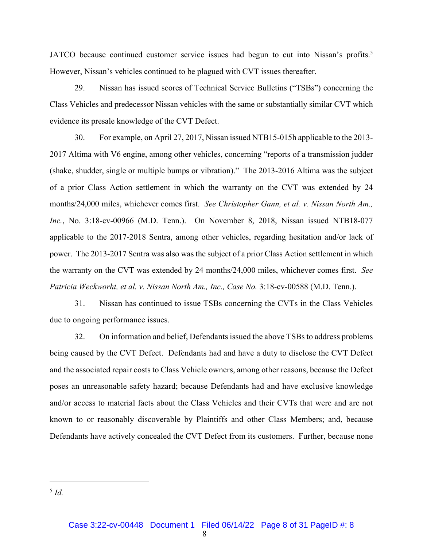JATCO because continued customer service issues had begun to cut into Nissan's profits.<sup>5</sup> However, Nissan's vehicles continued to be plagued with CVT issues thereafter.

29. Nissan has issued scores of Technical Service Bulletins ("TSBs") concerning the Class Vehicles and predecessor Nissan vehicles with the same or substantially similar CVT which evidence its presale knowledge of the CVT Defect.

30. For example, on April 27, 2017, Nissan issued NTB15-015h applicable to the 2013- 2017 Altima with V6 engine, among other vehicles, concerning "reports of a transmission judder (shake, shudder, single or multiple bumps or vibration)." The 2013-2016 Altima was the subject of a prior Class Action settlement in which the warranty on the CVT was extended by 24 months/24,000 miles, whichever comes first. *See Christopher Gann, et al. v. Nissan North Am., Inc.*, No. 3:18-cv-00966 (M.D. Tenn.). On November 8, 2018, Nissan issued NTB18-077 applicable to the 2017-2018 Sentra, among other vehicles, regarding hesitation and/or lack of power. The 2013-2017 Sentra was also was the subject of a prior Class Action settlement in which the warranty on the CVT was extended by 24 months/24,000 miles, whichever comes first. *See Patricia Weckworht, et al. v. Nissan North Am., Inc., Case No.* 3:18-cv-00588 (M.D. Tenn.).

31. Nissan has continued to issue TSBs concerning the CVTs in the Class Vehicles due to ongoing performance issues.

32. On information and belief, Defendants issued the above TSBs to address problems being caused by the CVT Defect. Defendants had and have a duty to disclose the CVT Defect and the associated repair costs to Class Vehicle owners, among other reasons, because the Defect poses an unreasonable safety hazard; because Defendants had and have exclusive knowledge and/or access to material facts about the Class Vehicles and their CVTs that were and are not known to or reasonably discoverable by Plaintiffs and other Class Members; and, because Defendants have actively concealed the CVT Defect from its customers. Further, because none

<sup>5</sup> *Id.*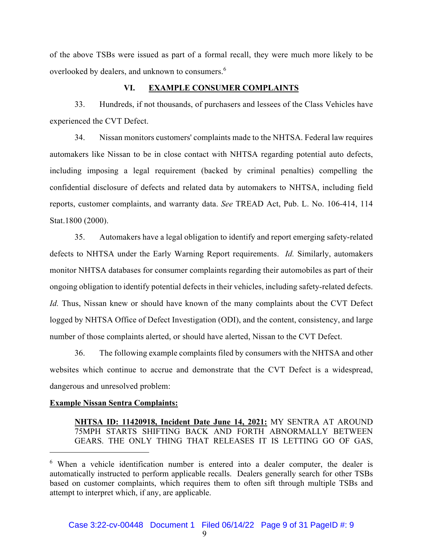of the above TSBs were issued as part of a formal recall, they were much more likely to be overlooked by dealers, and unknown to consumers.<sup>6</sup>

# **VI. EXAMPLE CONSUMER COMPLAINTS**

33. Hundreds, if not thousands, of purchasers and lessees of the Class Vehicles have experienced the CVT Defect.

34. Nissan monitors customers' complaints made to the NHTSA. Federal law requires automakers like Nissan to be in close contact with NHTSA regarding potential auto defects, including imposing a legal requirement (backed by criminal penalties) compelling the confidential disclosure of defects and related data by automakers to NHTSA, including field reports, customer complaints, and warranty data. *See* TREAD Act, Pub. L. No. 106-414, 114 Stat.1800 (2000).

35. Automakers have a legal obligation to identify and report emerging safety-related defects to NHTSA under the Early Warning Report requirements. *Id.* Similarly, automakers monitor NHTSA databases for consumer complaints regarding their automobiles as part of their ongoing obligation to identify potential defects in their vehicles, including safety-related defects. *Id.* Thus, Nissan knew or should have known of the many complaints about the CVT Defect logged by NHTSA Office of Defect Investigation (ODI), and the content, consistency, and large number of those complaints alerted, or should have alerted, Nissan to the CVT Defect.

36. The following example complaints filed by consumers with the NHTSA and other websites which continue to accrue and demonstrate that the CVT Defect is a widespread, dangerous and unresolved problem:

# **Example Nissan Sentra Complaints:**

**NHTSA ID: 11420918, Incident Date June 14, 2021:** MY SENTRA AT AROUND 75MPH STARTS SHIFTING BACK AND FORTH ABNORMALLY BETWEEN GEARS. THE ONLY THING THAT RELEASES IT IS LETTING GO OF GAS,

<sup>&</sup>lt;sup>6</sup> When a vehicle identification number is entered into a dealer computer, the dealer is automatically instructed to perform applicable recalls. Dealers generally search for other TSBs based on customer complaints, which requires them to often sift through multiple TSBs and attempt to interpret which, if any, are applicable.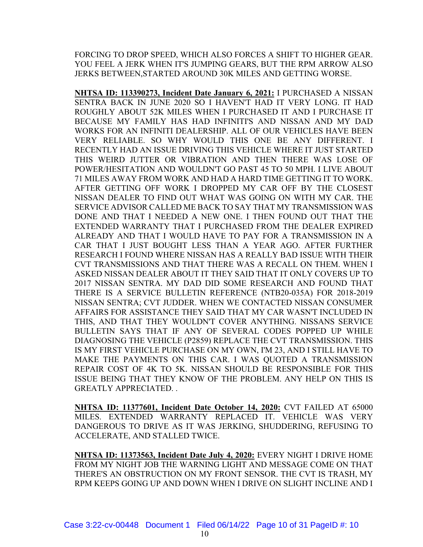FORCING TO DROP SPEED, WHICH ALSO FORCES A SHIFT TO HIGHER GEAR. YOU FEEL A JERK WHEN IT'S JUMPING GEARS, BUT THE RPM ARROW ALSO JERKS BETWEEN,STARTED AROUND 30K MILES AND GETTING WORSE.

**NHTSA ID: 113390273, Incident Date January 6, 2021:** I PURCHASED A NISSAN SENTRA BACK IN JUNE 2020 SO I HAVEN'T HAD IT VERY LONG. IT HAD ROUGHLY ABOUT 52K MILES WHEN I PURCHASED IT AND I PURCHASE IT BECAUSE MY FAMILY HAS HAD INFINITI'S AND NISSAN AND MY DAD WORKS FOR AN INFINITI DEALERSHIP. ALL OF OUR VEHICLES HAVE BEEN VERY RELIABLE. SO WHY WOULD THIS ONE BE ANY DIFFERENT. I RECENTLY HAD AN ISSUE DRIVING THIS VEHICLE WHERE IT JUST STARTED THIS WEIRD JUTTER OR VIBRATION AND THEN THERE WAS LOSE OF POWER/HESITATION AND WOULDN'T GO PAST 45 TO 50 MPH. I LIVE ABOUT 71 MILES AWAY FROM WORK AND HAD A HARD TIME GETTING IT TO WORK. AFTER GETTING OFF WORK I DROPPED MY CAR OFF BY THE CLOSEST NISSAN DEALER TO FIND OUT WHAT WAS GOING ON WITH MY CAR. THE SERVICE ADVISOR CALLED ME BACK TO SAY THAT MY TRANSMISSION WAS DONE AND THAT I NEEDED A NEW ONE. I THEN FOUND OUT THAT THE EXTENDED WARRANTY THAT I PURCHASED FROM THE DEALER EXPIRED ALREADY AND THAT I WOULD HAVE TO PAY FOR A TRANSMISSION IN A CAR THAT I JUST BOUGHT LESS THAN A YEAR AGO. AFTER FURTHER RESEARCH I FOUND WHERE NISSAN HAS A REALLY BAD ISSUE WITH THEIR CVT TRANSMISSIONS AND THAT THERE WAS A RECALL ON THEM. WHEN I ASKED NISSAN DEALER ABOUT IT THEY SAID THAT IT ONLY COVERS UP TO 2017 NISSAN SENTRA. MY DAD DID SOME RESEARCH AND FOUND THAT THERE IS A SERVICE BULLETIN REFERENCE (NTB20-035A) FOR 2018-2019 NISSAN SENTRA; CVT JUDDER. WHEN WE CONTACTED NISSAN CONSUMER AFFAIRS FOR ASSISTANCE THEY SAID THAT MY CAR WASN'T INCLUDED IN THIS, AND THAT THEY WOULDN'T COVER ANYTHING. NISSANS SERVICE BULLETIN SAYS THAT IF ANY OF SEVERAL CODES POPPED UP WHILE DIAGNOSING THE VEHICLE (P2859) REPLACE THE CVT TRANSMISSION. THIS IS MY FIRST VEHICLE PURCHASE ON MY OWN, I'M 23, AND I STILL HAVE TO MAKE THE PAYMENTS ON THIS CAR. I WAS QUOTED A TRANSMISSION REPAIR COST OF 4K TO 5K. NISSAN SHOULD BE RESPONSIBLE FOR THIS ISSUE BEING THAT THEY KNOW OF THE PROBLEM. ANY HELP ON THIS IS GREATLY APPRECIATED. .

**NHTSA ID: 11377601, Incident Date October 14, 2020:** CVT FAILED AT 65000 MILES. EXTENDED WARRANTY REPLACED IT. VEHICLE WAS VERY DANGEROUS TO DRIVE AS IT WAS JERKING, SHUDDERING, REFUSING TO ACCELERATE, AND STALLED TWICE.

**NHTSA ID: 11373563, Incident Date July 4, 2020:** EVERY NIGHT I DRIVE HOME FROM MY NIGHT JOB THE WARNING LIGHT AND MESSAGE COME ON THAT THERE'S AN OBSTRUCTION ON MY FRONT SENSOR. THE CVT IS TRASH, MY RPM KEEPS GOING UP AND DOWN WHEN I DRIVE ON SLIGHT INCLINE AND I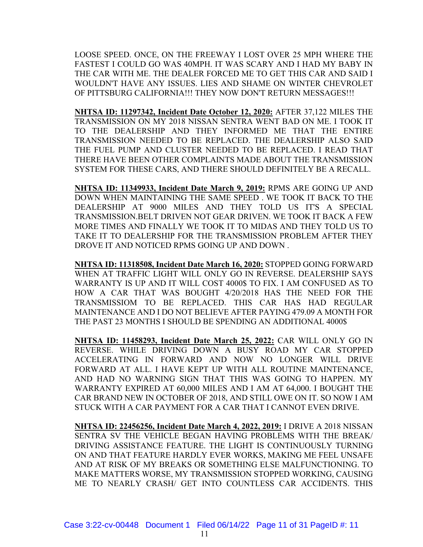LOOSE SPEED. ONCE, ON THE FREEWAY I LOST OVER 25 MPH WHERE THE FASTEST I COULD GO WAS 40MPH. IT WAS SCARY AND I HAD MY BABY IN THE CAR WITH ME. THE DEALER FORCED ME TO GET THIS CAR AND SAID I WOULDN'T HAVE ANY ISSUES. LIES AND SHAME ON WINTER CHEVROLET OF PITTSBURG CALIFORNIA!!! THEY NOW DON'T RETURN MESSAGES!!!

**NHTSA ID: 11297342, Incident Date October 12, 2020:** AFTER 37,122 MILES THE TRANSMISSION ON MY 2018 NISSAN SENTRA WENT BAD ON ME. I TOOK IT TO THE DEALERSHIP AND THEY INFORMED ME THAT THE ENTIRE TRANSMISSION NEEDED TO BE REPLACED. THE DEALERSHIP ALSO SAID THE FUEL PUMP AND CLUSTER NEEDED TO BE REPLACED. I READ THAT THERE HAVE BEEN OTHER COMPLAINTS MADE ABOUT THE TRANSMISSION SYSTEM FOR THESE CARS, AND THERE SHOULD DEFINITELY BE A RECALL.

**NHTSA ID: 11349933, Incident Date March 9, 2019:** RPMS ARE GOING UP AND DOWN WHEN MAINTAINING THE SAME SPEED . WE TOOK IT BACK TO THE DEALERSHIP AT 9000 MILES AND THEY TOLD US IT'S A SPECIAL TRANSMISSION.BELT DRIVEN NOT GEAR DRIVEN. WE TOOK IT BACK A FEW MORE TIMES AND FINALLY WE TOOK IT TO MIDAS AND THEY TOLD US TO TAKE IT TO DEALERSHIP FOR THE TRANSMISSION PROBLEM AFTER THEY DROVE IT AND NOTICED RPMS GOING UP AND DOWN .

**NHTSA ID: 11318508, Incident Date March 16, 2020:** STOPPED GOING FORWARD WHEN AT TRAFFIC LIGHT WILL ONLY GO IN REVERSE. DEALERSHIP SAYS WARRANTY IS UP AND IT WILL COST 4000\$ TO FIX. I AM CONFUSED AS TO HOW A CAR THAT WAS BOUGHT 4/20/2018 HAS THE NEED FOR THE TRANSMISSIOM TO BE REPLACED. THIS CAR HAS HAD REGULAR MAINTENANCE AND I DO NOT BELIEVE AFTER PAYING 479.09 A MONTH FOR THE PAST 23 MONTHS I SHOULD BE SPENDING AN ADDITIONAL 4000\$

**NHTSA ID: 11458293, Incident Date March 25, 2022:** CAR WILL ONLY GO IN REVERSE. WHILE DRIVING DOWN A BUSY ROAD MY CAR STOPPED ACCELERATING IN FORWARD AND NOW NO LONGER WILL DRIVE FORWARD AT ALL. I HAVE KEPT UP WITH ALL ROUTINE MAINTENANCE, AND HAD NO WARNING SIGN THAT THIS WAS GOING TO HAPPEN. MY WARRANTY EXPIRED AT 60,000 MILES AND I AM AT 64,000. I BOUGHT THE CAR BRAND NEW IN OCTOBER OF 2018, AND STILL OWE ON IT. SO NOW I AM STUCK WITH A CAR PAYMENT FOR A CAR THAT I CANNOT EVEN DRIVE.

**NHTSA ID: 22456256, Incident Date March 4, 2022, 2019:** I DRIVE A 2018 NISSAN SENTRA SV THE VEHICLE BEGAN HAVING PROBLEMS WITH THE BREAK/ DRIVING ASSISTANCE FEATURE. THE LIGHT IS CONTINUOUSLY TURNING ON AND THAT FEATURE HARDLY EVER WORKS, MAKING ME FEEL UNSAFE AND AT RISK OF MY BREAKS OR SOMETHING ELSE MALFUNCTIONING. TO MAKE MATTERS WORSE, MY TRANSMISSION STOPPED WORKING, CAUSING ME TO NEARLY CRASH/ GET INTO COUNTLESS CAR ACCIDENTS. THIS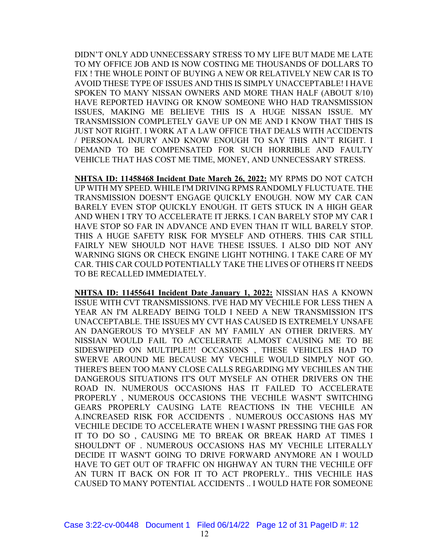DIDN'T ONLY ADD UNNECESSARY STRESS TO MY LIFE BUT MADE ME LATE TO MY OFFICE JOB AND IS NOW COSTING ME THOUSANDS OF DOLLARS TO FIX ! THE WHOLE POINT OF BUYING A NEW OR RELATIVELY NEW CAR IS TO AVOID THESE TYPE OF ISSUES AND THIS IS SIMPLY UNACCEPTABLE! I HAVE SPOKEN TO MANY NISSAN OWNERS AND MORE THAN HALF (ABOUT 8/10) HAVE REPORTED HAVING OR KNOW SOMEONE WHO HAD TRANSMISSION ISSUES, MAKING ME BELIEVE THIS IS A HUGE NISSAN ISSUE. MY TRANSMISSION COMPLETELY GAVE UP ON ME AND I KNOW THAT THIS IS JUST NOT RIGHT. I WORK AT A LAW OFFICE THAT DEALS WITH ACCIDENTS / PERSONAL INJURY AND KNOW ENOUGH TO SAY THIS AIN'T RIGHT. I DEMAND TO BE COMPENSATED FOR SUCH HORRIBLE AND FAULTY VEHICLE THAT HAS COST ME TIME, MONEY, AND UNNECESSARY STRESS.

**NHTSA ID: 11458468 Incident Date March 26, 2022:** MY RPMS DO NOT CATCH UP WITH MY SPEED. WHILE I'M DRIVING RPMS RANDOMLY FLUCTUATE. THE TRANSMISSION DOESN'T ENGAGE QUICKLY ENOUGH. NOW MY CAR CAN BARELY EVEN STOP QUICKLY ENOUGH. IT GETS STUCK IN A HIGH GEAR AND WHEN I TRY TO ACCELERATE IT JERKS. I CAN BARELY STOP MY CAR I HAVE STOP SO FAR IN ADVANCE AND EVEN THAN IT WILL BARELY STOP. THIS A HUGE SAFETY RISK FOR MYSELF AND OTHERS. THIS CAR STILL FAIRLY NEW SHOULD NOT HAVE THESE ISSUES. I ALSO DID NOT ANY WARNING SIGNS OR CHECK ENGINE LIGHT NOTHING. I TAKE CARE OF MY CAR. THIS CAR COULD POTENTIALLY TAKE THE LIVES OF OTHERS IT NEEDS TO BE RECALLED IMMEDIATELY.

**NHTSA ID: 11455641 Incident Date January 1, 2022:** NISSIAN HAS A KNOWN ISSUE WITH CVT TRANSMISSIONS. I'VE HAD MY VECHILE FOR LESS THEN A YEAR AN I'M ALREADY BEING TOLD I NEED A NEW TRANSMISSION IT'S UNACCEPTABLE. THE ISSUES MY CVT HAS CAUSED IS EXTREMELY UNSAFE AN DANGEROUS TO MYSELF AN MY FAMILY AN OTHER DRIVERS. MY NISSIAN WOULD FAIL TO ACCELERATE ALMOST CAUSING ME TO BE SIDESWIPED ON MULTIPLE!!! OCCASIONS , THESE VEHICLES HAD TO SWERVE AROUND ME BECAUSE MY VECHILE WOULD SIMPLY NOT GO. THERE'S BEEN TOO MANY CLOSE CALLS REGARDING MY VECHILES AN THE DANGEROUS SITUATIONS IT'S OUT MYSELF AN OTHER DRIVERS ON THE ROAD IN. NUMEROUS OCCASIONS HAS IT FAILED TO ACCELERATE PROPERLY , NUMEROUS OCCASIONS THE VECHILE WASN'T SWITCHING GEARS PROPERLY CAUSING LATE REACTIONS IN THE VECHILE AN A.INCREASED RISK FOR ACCIDENTS . NUMEROUS OCCASIONS HAS MY VECHILE DECIDE TO ACCELERATE WHEN I WASNT PRESSING THE GAS FOR IT TO DO SO , CAUSING ME TO BREAK OR BREAK HARD AT TIMES I SHOULDN'T OF . NUMEROUS OCCASIONS HAS MY VECHILE LITERALLY DECIDE IT WASN'T GOING TO DRIVE FORWARD ANYMORE AN I WOULD HAVE TO GET OUT OF TRAFFIC ON HIGHWAY AN TURN THE VECHILE OFF AN TURN IT BACK ON FOR IT TO ACT PROPERLY.. THIS VECHILE HAS CAUSED TO MANY POTENTIAL ACCIDENTS .. I WOULD HATE FOR SOMEONE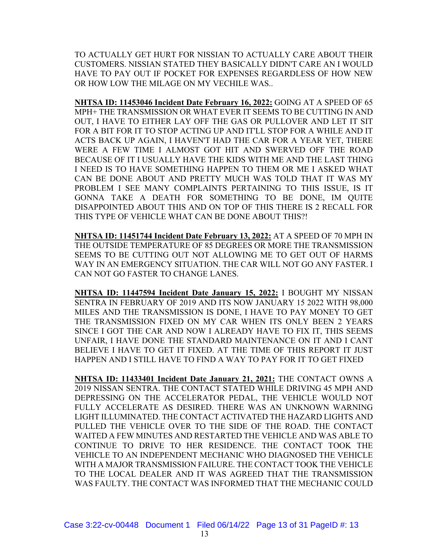TO ACTUALLY GET HURT FOR NISSIAN TO ACTUALLY CARE ABOUT THEIR CUSTOMERS. NISSIAN STATED THEY BASICALLY DIDN'T CARE AN I WOULD HAVE TO PAY OUT IF POCKET FOR EXPENSES REGARDLESS OF HOW NEW OR HOW LOW THE MILAGE ON MY VECHILE WAS..

**NHTSA ID: 11453046 Incident Date February 16, 2022:** GOING AT A SPEED OF 65 MPH+ THE TRANSMISSION OR WHAT EVER IT SEEMS TO BE CUTTING IN AND OUT, I HAVE TO EITHER LAY OFF THE GAS OR PULLOVER AND LET IT SIT FOR A BIT FOR IT TO STOP ACTING UP AND IT'LL STOP FOR A WHILE AND IT ACTS BACK UP AGAIN, I HAVEN'T HAD THE CAR FOR A YEAR YET, THERE WERE A FEW TIME I ALMOST GOT HIT AND SWERVED OFF THE ROAD BECAUSE OF IT I USUALLY HAVE THE KIDS WITH ME AND THE LAST THING I NEED IS TO HAVE SOMETHING HAPPEN TO THEM OR ME I ASKED WHAT CAN BE DONE ABOUT AND PRETTY MUCH WAS TOLD THAT IT WAS MY PROBLEM I SEE MANY COMPLAINTS PERTAINING TO THIS ISSUE, IS IT GONNA TAKE A DEATH FOR SOMETHING TO BE DONE, IM QUITE DISAPPOINTED ABOUT THIS AND ON TOP OF THIS THERE IS 2 RECALL FOR THIS TYPE OF VEHICLE WHAT CAN BE DONE ABOUT THIS?!

**NHTSA ID: 11451744 Incident Date February 13, 2022:** AT A SPEED OF 70 MPH IN THE OUTSIDE TEMPERATURE OF 85 DEGREES OR MORE THE TRANSMISSION SEEMS TO BE CUTTING OUT NOT ALLOWING ME TO GET OUT OF HARMS WAY IN AN EMERGENCY SITUATION. THE CAR WILL NOT GO ANY FASTER. I CAN NOT GO FASTER TO CHANGE LANES.

**NHTSA ID: 11447594 Incident Date January 15, 2022:** I BOUGHT MY NISSAN SENTRA IN FEBRUARY OF 2019 AND ITS NOW JANUARY 15 2022 WITH 98,000 MILES AND THE TRANSMISSION IS DONE, I HAVE TO PAY MONEY TO GET THE TRANSMISSION FIXED ON MY CAR WHEN ITS ONLY BEEN 2 YEARS SINCE I GOT THE CAR AND NOW I ALREADY HAVE TO FIX IT, THIS SEEMS UNFAIR, I HAVE DONE THE STANDARD MAINTENANCE ON IT AND I CANT BELIEVE I HAVE TO GET IT FIXED. AT THE TIME OF THIS REPORT IT JUST HAPPEN AND I STILL HAVE TO FIND A WAY TO PAY FOR IT TO GET FIXED

**NHTSA ID: 11433401 Incident Date January 21, 2021:** THE CONTACT OWNS A 2019 NISSAN SENTRA. THE CONTACT STATED WHILE DRIVING 45 MPH AND DEPRESSING ON THE ACCELERATOR PEDAL, THE VEHICLE WOULD NOT FULLY ACCELERATE AS DESIRED. THERE WAS AN UNKNOWN WARNING LIGHT ILLUMINATED. THE CONTACT ACTIVATED THE HAZARD LIGHTS AND PULLED THE VEHICLE OVER TO THE SIDE OF THE ROAD. THE CONTACT WAITED A FEW MINUTES AND RESTARTED THE VEHICLE AND WAS ABLE TO CONTINUE TO DRIVE TO HER RESIDENCE. THE CONTACT TOOK THE VEHICLE TO AN INDEPENDENT MECHANIC WHO DIAGNOSED THE VEHICLE WITH A MAJOR TRANSMISSION FAILURE. THE CONTACT TOOK THE VEHICLE TO THE LOCAL DEALER AND IT WAS AGREED THAT THE TRANSMISSION WAS FAULTY. THE CONTACT WAS INFORMED THAT THE MECHANIC COULD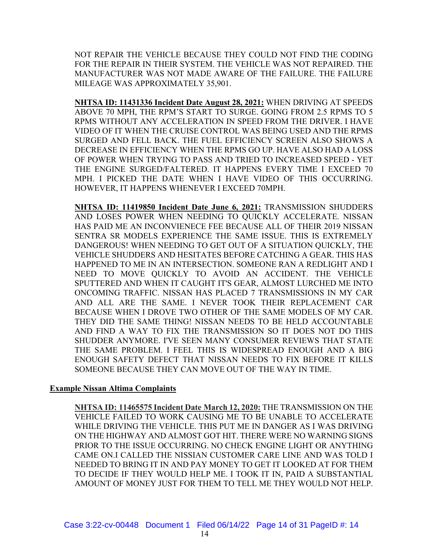NOT REPAIR THE VEHICLE BECAUSE THEY COULD NOT FIND THE CODING FOR THE REPAIR IN THEIR SYSTEM. THE VEHICLE WAS NOT REPAIRED. THE MANUFACTURER WAS NOT MADE AWARE OF THE FAILURE. THE FAILURE MILEAGE WAS APPROXIMATELY 35,901.

**NHTSA ID: 11431336 Incident Date August 28, 2021:** WHEN DRIVING AT SPEEDS ABOVE 70 MPH, THE RPM'S START TO SURGE. GOING FROM 2.5 RPMS TO 5 RPMS WITHOUT ANY ACCELERATION IN SPEED FROM THE DRIVER. I HAVE VIDEO OF IT WHEN THE CRUISE CONTROL WAS BEING USED AND THE RPMS SURGED AND FELL BACK. THE FUEL EFFICIENCY SCREEN ALSO SHOWS A DECREASE IN EFFICIENCY WHEN THE RPMS GO UP. HAVE ALSO HAD A LOSS OF POWER WHEN TRYING TO PASS AND TRIED TO INCREASED SPEED - YET THE ENGINE SURGED/FALTERED. IT HAPPENS EVERY TIME I EXCEED 70 MPH. I PICKED THE DATE WHEN I HAVE VIDEO OF THIS OCCURRING. HOWEVER, IT HAPPENS WHENEVER I EXCEED 70MPH.

**NHTSA ID: 11419850 Incident Date June 6, 2021:** TRANSMISSION SHUDDERS AND LOSES POWER WHEN NEEDING TO QUICKLY ACCELERATE. NISSAN HAS PAID ME AN INCONVIENECE FEE BECAUSE ALL OF THEIR 2019 NISSAN SENTRA SR MODELS EXPERIENCE THE SAME ISSUE. THIS IS EXTREMELY DANGEROUS! WHEN NEEDING TO GET OUT OF A SITUATION QUICKLY, THE VEHICLE SHUDDERS AND HESITATES BEFORE CATCHING A GEAR. THIS HAS HAPPENED TO ME IN AN INTERSECTION. SOMEONE RAN A REDLIGHT AND I NEED TO MOVE QUICKLY TO AVOID AN ACCIDENT. THE VEHICLE SPUTTERED AND WHEN IT CAUGHT IT'S GEAR, ALMOST LURCHED ME INTO ONCOMING TRAFFIC. NISSAN HAS PLACED 7 TRANSMISSIONS IN MY CAR AND ALL ARE THE SAME. I NEVER TOOK THEIR REPLACEMENT CAR BECAUSE WHEN I DROVE TWO OTHER OF THE SAME MODELS OF MY CAR. THEY DID THE SAME THING! NISSAN NEEDS TO BE HELD ACCOUNTABLE AND FIND A WAY TO FIX THE TRANSMISSION SO IT DOES NOT DO THIS SHUDDER ANYMORE. I'VE SEEN MANY CONSUMER REVIEWS THAT STATE THE SAME PROBLEM. I FEEL THIS IS WIDESPREAD ENOUGH AND A BIG ENOUGH SAFETY DEFECT THAT NISSAN NEEDS TO FIX BEFORE IT KILLS SOMEONE BECAUSE THEY CAN MOVE OUT OF THE WAY IN TIME.

# **Example Nissan Altima Complaints**

**NHTSA ID: 11465575 Incident Date March 12, 2020:** THE TRANSMISSION ON THE VEHICLE FAILED TO WORK CAUSING ME TO BE UNABLE TO ACCELERATE WHILE DRIVING THE VEHICLE. THIS PUT ME IN DANGER AS I WAS DRIVING ON THE HIGHWAY AND ALMOST GOT HIT. THERE WERE NO WARNING SIGNS PRIOR TO THE ISSUE OCCURRING. NO CHECK ENGINE LIGHT OR ANYTHING CAME ON.I CALLED THE NISSIAN CUSTOMER CARE LINE AND WAS TOLD I NEEDED TO BRING IT IN AND PAY MONEY TO GET IT LOOKED AT FOR THEM TO DECIDE IF THEY WOULD HELP ME. I TOOK IT IN, PAID A SUBSTANTIAL AMOUNT OF MONEY JUST FOR THEM TO TELL ME THEY WOULD NOT HELP.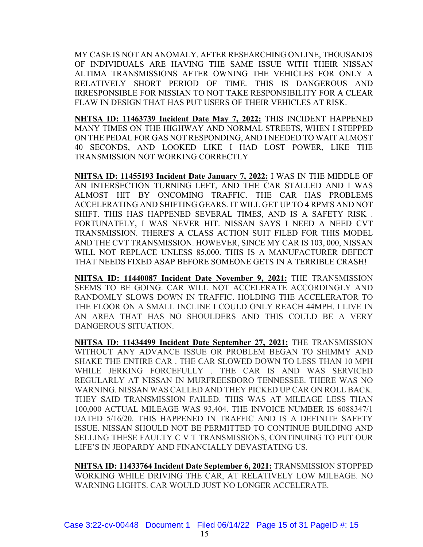MY CASE IS NOT AN ANOMALY. AFTER RESEARCHING ONLINE, THOUSANDS OF INDIVIDUALS ARE HAVING THE SAME ISSUE WITH THEIR NISSAN ALTIMA TRANSMISSIONS AFTER OWNING THE VEHICLES FOR ONLY A RELATIVELY SHORT PERIOD OF TIME. THIS IS DANGEROUS AND IRRESPONSIBLE FOR NISSIAN TO NOT TAKE RESPONSIBILITY FOR A CLEAR FLAW IN DESIGN THAT HAS PUT USERS OF THEIR VEHICLES AT RISK.

**NHTSA ID: 11463739 Incident Date May 7, 2022:** THIS INCIDENT HAPPENED MANY TIMES ON THE HIGHWAY AND NORMAL STREETS, WHEN I STEPPED ON THE PEDAL FOR GAS NOT RESPONDING, AND I NEEDED TO WAIT ALMOST 40 SECONDS, AND LOOKED LIKE I HAD LOST POWER, LIKE THE TRANSMISSION NOT WORKING CORRECTLY

**NHTSA ID: 11455193 Incident Date January 7, 2022:** I WAS IN THE MIDDLE OF AN INTERSECTION TURNING LEFT, AND THE CAR STALLED AND I WAS ALMOST HIT BY ONCOMING TRAFFIC. THE CAR HAS PROBLEMS ACCELERATING AND SHIFTING GEARS. IT WILL GET UP TO 4 RPM'S AND NOT SHIFT. THIS HAS HAPPENED SEVERAL TIMES, AND IS A SAFETY RISK . FORTUNATELY, I WAS NEVER HIT. NISSAN SAYS I NEED A NEED CVT TRANSMISSION. THERE'S A CLASS ACTION SUIT FILED FOR THIS MODEL AND THE CVT TRANSMISSION. HOWEVER, SINCE MY CAR IS 103, 000, NISSAN WILL NOT REPLACE UNLESS 85,000. THIS IS A MANUFACTURER DEFECT THAT NEEDS FIXED ASAP BEFORE SOMEONE GETS IN A TERRIBLE CRASH!

**NHTSA ID: 11440087 Incident Date November 9, 2021:** THE TRANSMISSION SEEMS TO BE GOING. CAR WILL NOT ACCELERATE ACCORDINGLY AND RANDOMLY SLOWS DOWN IN TRAFFIC. HOLDING THE ACCELERATOR TO THE FLOOR ON A SMALL INCLINE I COULD ONLY REACH 44MPH. I LIVE IN AN AREA THAT HAS NO SHOULDERS AND THIS COULD BE A VERY DANGEROUS SITUATION.

**NHTSA ID: 11434499 Incident Date September 27, 2021:** THE TRANSMISSION WITHOUT ANY ADVANCE ISSUE OR PROBLEM BEGAN TO SHIMMY AND SHAKE THE ENTIRE CAR . THE CAR SLOWED DOWN TO LESS THAN 10 MPH WHILE JERKING FORCEFULLY . THE CAR IS AND WAS SERVICED REGULARLY AT NISSAN IN MURFREESBORO TENNESSEE. THERE WAS NO WARNING. NISSAN WAS CALLED AND THEY PICKED UP CAR ON ROLL BACK. THEY SAID TRANSMISSION FAILED. THIS WAS AT MILEAGE LESS THAN 100,000 ACTUAL MILEAGE WAS 93,404. THE INVOICE NUMBER IS 6088347/1 DATED 5/16/20. THIS HAPPENED IN TRAFFIC AND IS A DEFINITE SAFETY ISSUE. NISSAN SHOULD NOT BE PERMITTED TO CONTINUE BUILDING AND SELLING THESE FAULTY C V T TRANSMISSIONS, CONTINUING TO PUT OUR LIFE'S IN JEOPARDY AND FINANCIALLY DEVASTATING US.

**NHTSA ID: 11433764 Incident Date September 6, 2021:** TRANSMISSION STOPPED WORKING WHILE DRIVING THE CAR, AT RELATIVELY LOW MILEAGE. NO WARNING LIGHTS. CAR WOULD JUST NO LONGER ACCELERATE.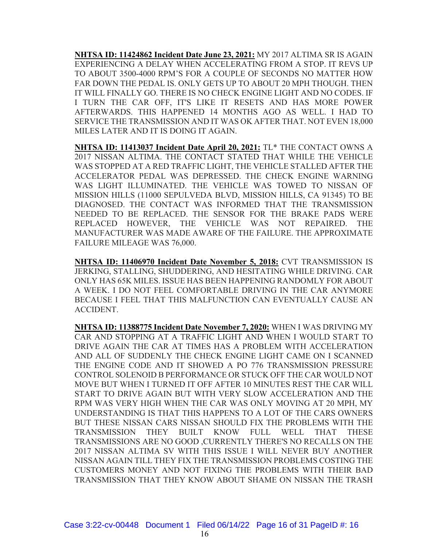**NHTSA ID: 11424862 Incident Date June 23, 2021:** MY 2017 ALTIMA SR IS AGAIN EXPERIENCING A DELAY WHEN ACCELERATING FROM A STOP. IT REVS UP TO ABOUT 3500-4000 RPM'S FOR A COUPLE OF SECONDS NO MATTER HOW FAR DOWN THE PEDAL IS. ONLY GETS UP TO ABOUT 20 MPH THOUGH. THEN IT WILL FINALLY GO. THERE IS NO CHECK ENGINE LIGHT AND NO CODES. IF I TURN THE CAR OFF, IT'S LIKE IT RESETS AND HAS MORE POWER AFTERWARDS. THIS HAPPENED 14 MONTHS AGO AS WELL. I HAD TO SERVICE THE TRANSMISSION AND IT WAS OK AFTER THAT. NOT EVEN 18,000 MILES LATER AND IT IS DOING IT AGAIN.

**NHTSA ID: 11413037 Incident Date April 20, 2021:** TL\* THE CONTACT OWNS A 2017 NISSAN ALTIMA. THE CONTACT STATED THAT WHILE THE VEHICLE WAS STOPPED AT A RED TRAFFIC LIGHT, THE VEHICLE STALLED AFTER THE ACCELERATOR PEDAL WAS DEPRESSED. THE CHECK ENGINE WARNING WAS LIGHT ILLUMINATED. THE VEHICLE WAS TOWED TO NISSAN OF MISSION HILLS (11000 SEPULVEDA BLVD, MISSION HILLS, CA 91345) TO BE DIAGNOSED. THE CONTACT WAS INFORMED THAT THE TRANSMISSION NEEDED TO BE REPLACED. THE SENSOR FOR THE BRAKE PADS WERE REPLACED HOWEVER, THE VEHICLE WAS NOT REPAIRED. THE MANUFACTURER WAS MADE AWARE OF THE FAILURE. THE APPROXIMATE FAILURE MILEAGE WAS 76,000.

**NHTSA ID: 11406970 Incident Date November 5, 2018:** CVT TRANSMISSION IS JERKING, STALLING, SHUDDERING, AND HESITATING WHILE DRIVING. CAR ONLY HAS 65K MILES. ISSUE HAS BEEN HAPPENING RANDOMLY FOR ABOUT A WEEK. I DO NOT FEEL COMFORTABLE DRIVING IN THE CAR ANYMORE BECAUSE I FEEL THAT THIS MALFUNCTION CAN EVENTUALLY CAUSE AN ACCIDENT.

**NHTSA ID: 11388775 Incident Date November 7, 2020:** WHEN I WAS DRIVING MY CAR AND STOPPING AT A TRAFFIC LIGHT AND WHEN I WOULD START TO DRIVE AGAIN THE CAR AT TIMES HAS A PROBLEM WITH ACCELERATION AND ALL OF SUDDENLY THE CHECK ENGINE LIGHT CAME ON I SCANNED THE ENGINE CODE AND IT SHOWED A PO 776 TRANSMISSION PRESSURE CONTROL SOLENOID B PERFORMANCE OR STUCK OFF THE CAR WOULD NOT MOVE BUT WHEN I TURNED IT OFF AFTER 10 MINUTES REST THE CAR WILL START TO DRIVE AGAIN BUT WITH VERY SLOW ACCELERATION AND THE RPM WAS VERY HIGH WHEN THE CAR WAS ONLY MOVING AT 20 MPH, MY UNDERSTANDING IS THAT THIS HAPPENS TO A LOT OF THE CARS OWNERS BUT THESE NISSAN CARS NISSAN SHOULD FIX THE PROBLEMS WITH THE TRANSMISSION THEY BUILT KNOW FULL WELL THAT THESE TRANSMISSIONS ARE NO GOOD ,CURRENTLY THERE'S NO RECALLS ON THE 2017 NISSAN ALTIMA SV WITH THIS ISSUE I WILL NEVER BUY ANOTHER NISSAN AGAIN TILL THEY FIX THE TRANSMISSION PROBLEMS COSTING THE CUSTOMERS MONEY AND NOT FIXING THE PROBLEMS WITH THEIR BAD TRANSMISSION THAT THEY KNOW ABOUT SHAME ON NISSAN THE TRASH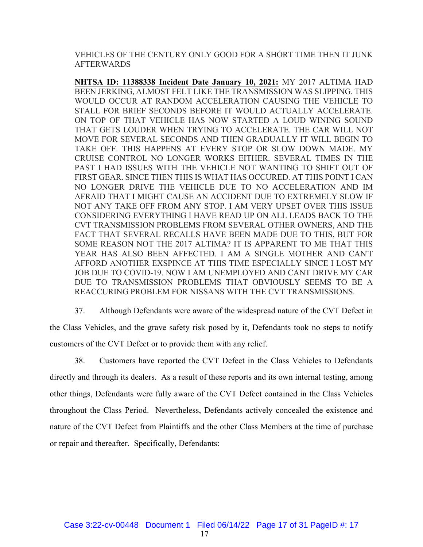VEHICLES OF THE CENTURY ONLY GOOD FOR A SHORT TIME THEN IT JUNK AFTERWARDS

**NHTSA ID: 11388338 Incident Date January 10, 2021:** MY 2017 ALTIMA HAD BEEN JERKING, ALMOST FELT LIKE THE TRANSMISSION WAS SLIPPING. THIS WOULD OCCUR AT RANDOM ACCELERATION CAUSING THE VEHICLE TO STALL FOR BRIEF SECONDS BEFORE IT WOULD ACTUALLY ACCELERATE. ON TOP OF THAT VEHICLE HAS NOW STARTED A LOUD WINING SOUND THAT GETS LOUDER WHEN TRYING TO ACCELERATE. THE CAR WILL NOT MOVE FOR SEVERAL SECONDS AND THEN GRADUALLY IT WILL BEGIN TO TAKE OFF. THIS HAPPENS AT EVERY STOP OR SLOW DOWN MADE. MY CRUISE CONTROL NO LONGER WORKS EITHER. SEVERAL TIMES IN THE PAST I HAD ISSUES WITH THE VEHICLE NOT WANTING TO SHIFT OUT OF FIRST GEAR. SINCE THEN THIS IS WHAT HAS OCCURED. AT THIS POINT I CAN NO LONGER DRIVE THE VEHICLE DUE TO NO ACCELERATION AND IM AFRAID THAT I MIGHT CAUSE AN ACCIDENT DUE TO EXTREMELY SLOW IF NOT ANY TAKE OFF FROM ANY STOP. I AM VERY UPSET OVER THIS ISSUE CONSIDERING EVERYTHING I HAVE READ UP ON ALL LEADS BACK TO THE CVT TRANSMISSION PROBLEMS FROM SEVERAL OTHER OWNERS, AND THE FACT THAT SEVERAL RECALLS HAVE BEEN MADE DUE TO THIS, BUT FOR SOME REASON NOT THE 2017 ALTIMA? IT IS APPARENT TO ME THAT THIS YEAR HAS ALSO BEEN AFFECTED. I AM A SINGLE MOTHER AND CAN'T AFFORD ANOTHER EXSPINCE AT THIS TIME ESPECIALLY SINCE I LOST MY JOB DUE TO COVID-19. NOW I AM UNEMPLOYED AND CANT DRIVE MY CAR DUE TO TRANSMISSION PROBLEMS THAT OBVIOUSLY SEEMS TO BE A REACCURING PROBLEM FOR NISSANS WITH THE CVT TRANSMISSIONS.

37. Although Defendants were aware of the widespread nature of the CVT Defect in the Class Vehicles, and the grave safety risk posed by it, Defendants took no steps to notify customers of the CVT Defect or to provide them with any relief.

38. Customers have reported the CVT Defect in the Class Vehicles to Defendants directly and through its dealers. As a result of these reports and its own internal testing, among other things, Defendants were fully aware of the CVT Defect contained in the Class Vehicles throughout the Class Period. Nevertheless, Defendants actively concealed the existence and nature of the CVT Defect from Plaintiffs and the other Class Members at the time of purchase or repair and thereafter. Specifically, Defendants: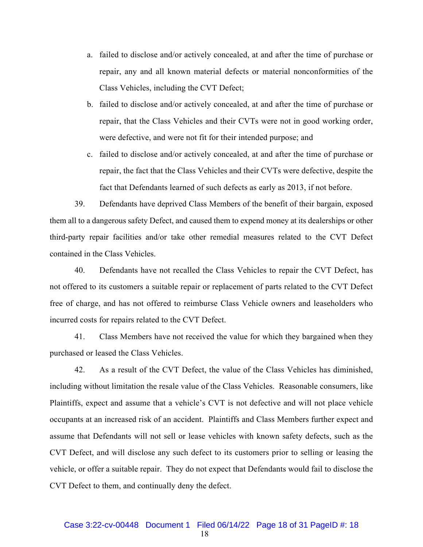- a. failed to disclose and/or actively concealed, at and after the time of purchase or repair, any and all known material defects or material nonconformities of the Class Vehicles, including the CVT Defect;
- b. failed to disclose and/or actively concealed, at and after the time of purchase or repair, that the Class Vehicles and their CVTs were not in good working order, were defective, and were not fit for their intended purpose; and
- c. failed to disclose and/or actively concealed, at and after the time of purchase or repair, the fact that the Class Vehicles and their CVTs were defective, despite the fact that Defendants learned of such defects as early as 2013, if not before.

39. Defendants have deprived Class Members of the benefit of their bargain, exposed them all to a dangerous safety Defect, and caused them to expend money at its dealerships or other third-party repair facilities and/or take other remedial measures related to the CVT Defect contained in the Class Vehicles.

40. Defendants have not recalled the Class Vehicles to repair the CVT Defect, has not offered to its customers a suitable repair or replacement of parts related to the CVT Defect free of charge, and has not offered to reimburse Class Vehicle owners and leaseholders who incurred costs for repairs related to the CVT Defect.

41. Class Members have not received the value for which they bargained when they purchased or leased the Class Vehicles.

42. As a result of the CVT Defect, the value of the Class Vehicles has diminished, including without limitation the resale value of the Class Vehicles. Reasonable consumers, like Plaintiffs, expect and assume that a vehicle's CVT is not defective and will not place vehicle occupants at an increased risk of an accident. Plaintiffs and Class Members further expect and assume that Defendants will not sell or lease vehicles with known safety defects, such as the CVT Defect, and will disclose any such defect to its customers prior to selling or leasing the vehicle, or offer a suitable repair. They do not expect that Defendants would fail to disclose the CVT Defect to them, and continually deny the defect.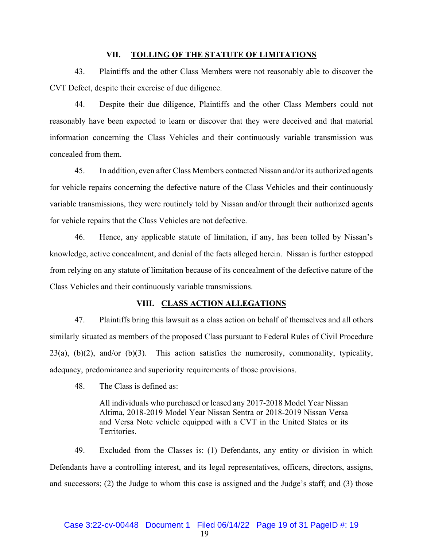#### **VII. TOLLING OF THE STATUTE OF LIMITATIONS**

43. Plaintiffs and the other Class Members were not reasonably able to discover the CVT Defect, despite their exercise of due diligence.

44. Despite their due diligence, Plaintiffs and the other Class Members could not reasonably have been expected to learn or discover that they were deceived and that material information concerning the Class Vehicles and their continuously variable transmission was concealed from them.

45. In addition, even after Class Members contacted Nissan and/or its authorized agents for vehicle repairs concerning the defective nature of the Class Vehicles and their continuously variable transmissions, they were routinely told by Nissan and/or through their authorized agents for vehicle repairs that the Class Vehicles are not defective.

46. Hence, any applicable statute of limitation, if any, has been tolled by Nissan's knowledge, active concealment, and denial of the facts alleged herein. Nissan is further estopped from relying on any statute of limitation because of its concealment of the defective nature of the Class Vehicles and their continuously variable transmissions.

## **VIII. CLASS ACTION ALLEGATIONS**

47. Plaintiffs bring this lawsuit as a class action on behalf of themselves and all others similarly situated as members of the proposed Class pursuant to Federal Rules of Civil Procedure  $23(a)$ ,  $(b)(2)$ , and/or  $(b)(3)$ . This action satisfies the numerosity, commonality, typicality, adequacy, predominance and superiority requirements of those provisions.

48. The Class is defined as:

All individuals who purchased or leased any 2017-2018 Model Year Nissan Altima, 2018-2019 Model Year Nissan Sentra or 2018-2019 Nissan Versa and Versa Note vehicle equipped with a CVT in the United States or its Territories.

49. Excluded from the Classes is: (1) Defendants, any entity or division in which Defendants have a controlling interest, and its legal representatives, officers, directors, assigns, and successors; (2) the Judge to whom this case is assigned and the Judge's staff; and (3) those

#### Case 3:22-cv-00448 Document 1 Filed 06/14/22 Page 19 of 31 PageID #: 19

19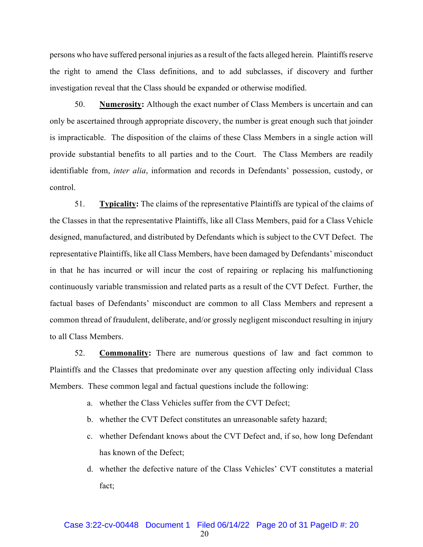persons who have suffered personal injuries as a result of the facts alleged herein. Plaintiffs reserve the right to amend the Class definitions, and to add subclasses, if discovery and further investigation reveal that the Class should be expanded or otherwise modified.

50. **Numerosity:** Although the exact number of Class Members is uncertain and can only be ascertained through appropriate discovery, the number is great enough such that joinder is impracticable. The disposition of the claims of these Class Members in a single action will provide substantial benefits to all parties and to the Court. The Class Members are readily identifiable from, *inter alia*, information and records in Defendants' possession, custody, or control.

51. **Typicality:** The claims of the representative Plaintiffs are typical of the claims of the Classes in that the representative Plaintiffs, like all Class Members, paid for a Class Vehicle designed, manufactured, and distributed by Defendants which is subject to the CVT Defect. The representative Plaintiffs, like all Class Members, have been damaged by Defendants' misconduct in that he has incurred or will incur the cost of repairing or replacing his malfunctioning continuously variable transmission and related parts as a result of the CVT Defect. Further, the factual bases of Defendants' misconduct are common to all Class Members and represent a common thread of fraudulent, deliberate, and/or grossly negligent misconduct resulting in injury to all Class Members.

52. **Commonality:** There are numerous questions of law and fact common to Plaintiffs and the Classes that predominate over any question affecting only individual Class Members. These common legal and factual questions include the following:

- a. whether the Class Vehicles suffer from the CVT Defect;
- b. whether the CVT Defect constitutes an unreasonable safety hazard;
- c. whether Defendant knows about the CVT Defect and, if so, how long Defendant has known of the Defect;
- d. whether the defective nature of the Class Vehicles' CVT constitutes a material fact;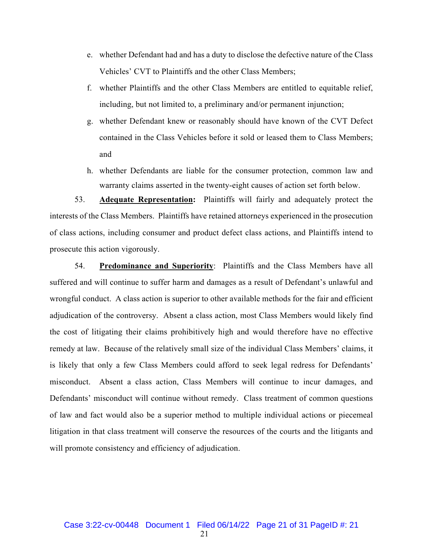- e. whether Defendant had and has a duty to disclose the defective nature of the Class Vehicles' CVT to Plaintiffs and the other Class Members;
- f. whether Plaintiffs and the other Class Members are entitled to equitable relief, including, but not limited to, a preliminary and/or permanent injunction;
- g. whether Defendant knew or reasonably should have known of the CVT Defect contained in the Class Vehicles before it sold or leased them to Class Members; and
- h. whether Defendants are liable for the consumer protection, common law and warranty claims asserted in the twenty-eight causes of action set forth below.

53. **Adequate Representation:** Plaintiffs will fairly and adequately protect the interests of the Class Members. Plaintiffs have retained attorneys experienced in the prosecution of class actions, including consumer and product defect class actions, and Plaintiffs intend to prosecute this action vigorously.

54. **Predominance and Superiority**: Plaintiffs and the Class Members have all suffered and will continue to suffer harm and damages as a result of Defendant's unlawful and wrongful conduct. A class action is superior to other available methods for the fair and efficient adjudication of the controversy. Absent a class action, most Class Members would likely find the cost of litigating their claims prohibitively high and would therefore have no effective remedy at law. Because of the relatively small size of the individual Class Members' claims, it is likely that only a few Class Members could afford to seek legal redress for Defendants' misconduct. Absent a class action, Class Members will continue to incur damages, and Defendants' misconduct will continue without remedy. Class treatment of common questions of law and fact would also be a superior method to multiple individual actions or piecemeal litigation in that class treatment will conserve the resources of the courts and the litigants and will promote consistency and efficiency of adjudication.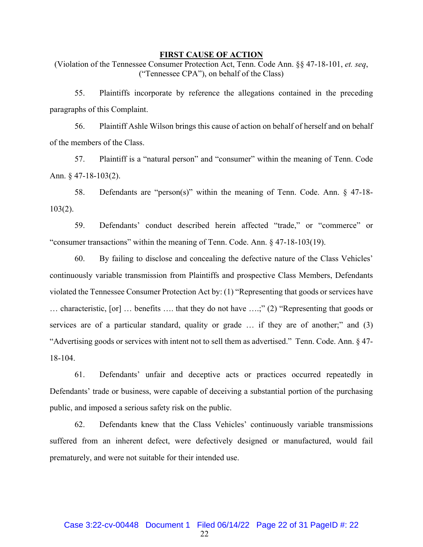#### **FIRST CAUSE OF ACTION**

(Violation of the Tennessee Consumer Protection Act, Tenn. Code Ann. §§ 47-18-101, *et. seq*, ("Tennessee CPA"), on behalf of the Class)

55. Plaintiffs incorporate by reference the allegations contained in the preceding paragraphs of this Complaint.

56. Plaintiff Ashle Wilson brings this cause of action on behalf of herself and on behalf of the members of the Class.

57. Plaintiff is a "natural person" and "consumer" within the meaning of Tenn. Code Ann. § 47-18-103(2).

58. Defendants are "person(s)" within the meaning of Tenn. Code. Ann. § 47-18- 103(2).

59. Defendants' conduct described herein affected "trade," or "commerce" or "consumer transactions" within the meaning of Tenn. Code. Ann. § 47-18-103(19).

60. By failing to disclose and concealing the defective nature of the Class Vehicles' continuously variable transmission from Plaintiffs and prospective Class Members, Defendants violated the Tennessee Consumer Protection Act by: (1) "Representing that goods or services have … characteristic, [or] … benefits …. that they do not have ….;" (2) "Representing that goods or services are of a particular standard, quality or grade ... if they are of another;" and (3) "Advertising goods or services with intent not to sell them as advertised." Tenn. Code. Ann. § 47- 18-104.

61. Defendants' unfair and deceptive acts or practices occurred repeatedly in Defendants' trade or business, were capable of deceiving a substantial portion of the purchasing public, and imposed a serious safety risk on the public.

62. Defendants knew that the Class Vehicles' continuously variable transmissions suffered from an inherent defect, were defectively designed or manufactured, would fail prematurely, and were not suitable for their intended use.

22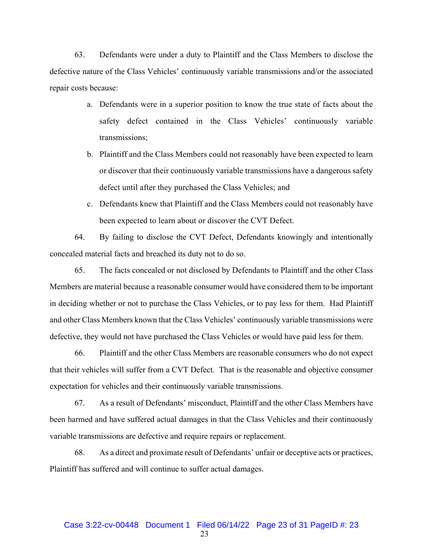63. Defendants were under a duty to Plaintiff and the Class Members to disclose the defective nature of the Class Vehicles' continuously variable transmissions and/or the associated repair costs because:

- a. Defendants were in a superior position to know the true state of facts about the safety defect contained in the Class Vehicles' continuously variable transmissions;
- b. Plaintiff and the Class Members could not reasonably have been expected to learn or discover that their continuously variable transmissions have a dangerous safety defect until after they purchased the Class Vehicles; and
- c. Defendants knew that Plaintiff and the Class Members could not reasonably have been expected to learn about or discover the CVT Defect.

64. By failing to disclose the CVT Defect, Defendants knowingly and intentionally concealed material facts and breached its duty not to do so.

65. The facts concealed or not disclosed by Defendants to Plaintiff and the other Class Members are material because a reasonable consumer would have considered them to be important in deciding whether or not to purchase the Class Vehicles, or to pay less for them. Had Plaintiff and other Class Members known that the Class Vehicles' continuously variable transmissions were defective, they would not have purchased the Class Vehicles or would have paid less for them.

66. Plaintiff and the other Class Members are reasonable consumers who do not expect that their vehicles will suffer from a CVT Defect. That is the reasonable and objective consumer expectation for vehicles and their continuously variable transmissions.

67. As a result of Defendants' misconduct, Plaintiff and the other Class Members have been harmed and have suffered actual damages in that the Class Vehicles and their continuously variable transmissions are defective and require repairs or replacement.

68. As a direct and proximate result of Defendants' unfair or deceptive acts or practices, Plaintiff has suffered and will continue to suffer actual damages.

23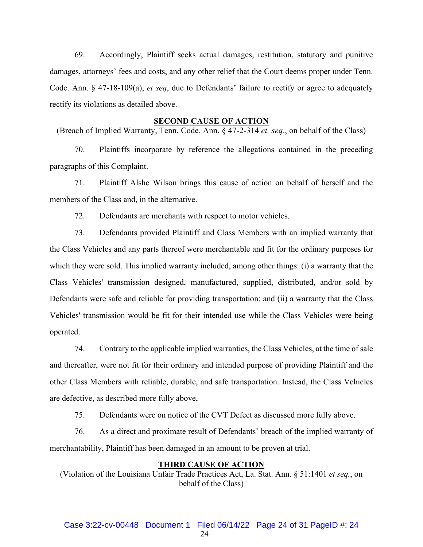69. Accordingly, Plaintiff seeks actual damages, restitution, statutory and punitive damages, attorneys' fees and costs, and any other relief that the Court deems proper under Tenn. Code. Ann. § 47-18-109(a), *et seq*, due to Defendants' failure to rectify or agree to adequately rectify its violations as detailed above.

#### **SECOND CAUSE OF ACTION**

(Breach of Implied Warranty, Tenn. Code. Ann. § 47-2-314 *et. seq*., on behalf of the Class)

70. Plaintiffs incorporate by reference the allegations contained in the preceding paragraphs of this Complaint.

71. Plaintiff Alshe Wilson brings this cause of action on behalf of herself and the members of the Class and, in the alternative.

72. Defendants are merchants with respect to motor vehicles.

73. Defendants provided Plaintiff and Class Members with an implied warranty that the Class Vehicles and any parts thereof were merchantable and fit for the ordinary purposes for which they were sold. This implied warranty included, among other things: (i) a warranty that the Class Vehicles' transmission designed, manufactured, supplied, distributed, and/or sold by Defendants were safe and reliable for providing transportation; and (ii) a warranty that the Class Vehicles' transmission would be fit for their intended use while the Class Vehicles were being operated.

74. Contrary to the applicable implied warranties, the Class Vehicles, at the time of sale and thereafter, were not fit for their ordinary and intended purpose of providing Plaintiff and the other Class Members with reliable, durable, and safe transportation. Instead, the Class Vehicles are defective, as described more fully above,

75. Defendants were on notice of the CVT Defect as discussed more fully above.

76. As a direct and proximate result of Defendants' breach of the implied warranty of merchantability, Plaintiff has been damaged in an amount to be proven at trial.

#### **THIRD CAUSE OF ACTION**

(Violation of the Louisiana Unfair Trade Practices Act, La. Stat. Ann. § 51:1401 *et seq.*, on behalf of the Class)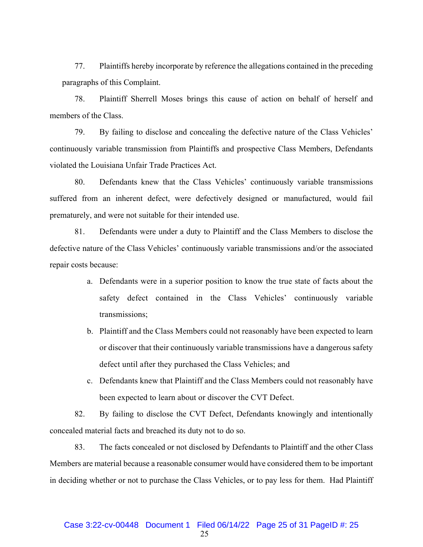77. Plaintiffs hereby incorporate by reference the allegations contained in the preceding paragraphs of this Complaint.

78. Plaintiff Sherrell Moses brings this cause of action on behalf of herself and members of the Class.

79. By failing to disclose and concealing the defective nature of the Class Vehicles' continuously variable transmission from Plaintiffs and prospective Class Members, Defendants violated the Louisiana Unfair Trade Practices Act.

80. Defendants knew that the Class Vehicles' continuously variable transmissions suffered from an inherent defect, were defectively designed or manufactured, would fail prematurely, and were not suitable for their intended use.

81. Defendants were under a duty to Plaintiff and the Class Members to disclose the defective nature of the Class Vehicles' continuously variable transmissions and/or the associated repair costs because:

- a. Defendants were in a superior position to know the true state of facts about the safety defect contained in the Class Vehicles' continuously variable transmissions;
- b. Plaintiff and the Class Members could not reasonably have been expected to learn or discover that their continuously variable transmissions have a dangerous safety defect until after they purchased the Class Vehicles; and
- c. Defendants knew that Plaintiff and the Class Members could not reasonably have been expected to learn about or discover the CVT Defect.

82. By failing to disclose the CVT Defect, Defendants knowingly and intentionally concealed material facts and breached its duty not to do so.

83. The facts concealed or not disclosed by Defendants to Plaintiff and the other Class Members are material because a reasonable consumer would have considered them to be important in deciding whether or not to purchase the Class Vehicles, or to pay less for them. Had Plaintiff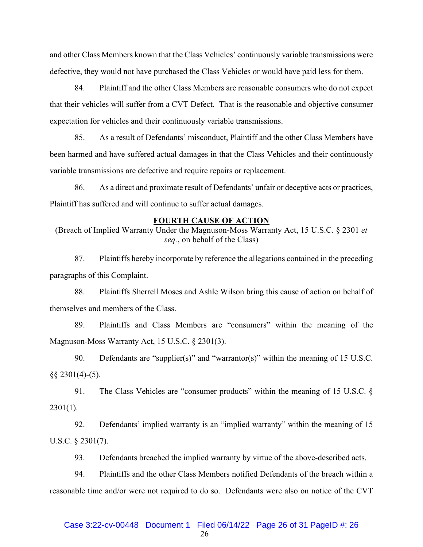and other Class Members known that the Class Vehicles' continuously variable transmissions were defective, they would not have purchased the Class Vehicles or would have paid less for them.

84. Plaintiff and the other Class Members are reasonable consumers who do not expect that their vehicles will suffer from a CVT Defect. That is the reasonable and objective consumer expectation for vehicles and their continuously variable transmissions.

85. As a result of Defendants' misconduct, Plaintiff and the other Class Members have been harmed and have suffered actual damages in that the Class Vehicles and their continuously variable transmissions are defective and require repairs or replacement.

86. As a direct and proximate result of Defendants' unfair or deceptive acts or practices, Plaintiff has suffered and will continue to suffer actual damages.

#### **FOURTH CAUSE OF ACTION**

(Breach of Implied Warranty Under the Magnuson-Moss Warranty Act, 15 U.S.C. § 2301 *et seq.*, on behalf of the Class)

87. Plaintiffs hereby incorporate by reference the allegations contained in the preceding paragraphs of this Complaint.

88. Plaintiffs Sherrell Moses and Ashle Wilson bring this cause of action on behalf of themselves and members of the Class.

89. Plaintiffs and Class Members are "consumers" within the meaning of the Magnuson-Moss Warranty Act, 15 U.S.C. § 2301(3).

90. Defendants are "supplier(s)" and "warrantor(s)" within the meaning of 15 U.S.C.  $\S$ § 2301(4)-(5).

91. The Class Vehicles are "consumer products" within the meaning of 15 U.S.C. §  $2301(1)$ .

92. Defendants' implied warranty is an "implied warranty" within the meaning of 15 U.S.C. § 2301(7).

93. Defendants breached the implied warranty by virtue of the above-described acts.

94. Plaintiffs and the other Class Members notified Defendants of the breach within a reasonable time and/or were not required to do so. Defendants were also on notice of the CVT

## Case 3:22-cv-00448 Document 1 Filed 06/14/22 Page 26 of 31 PageID #: 26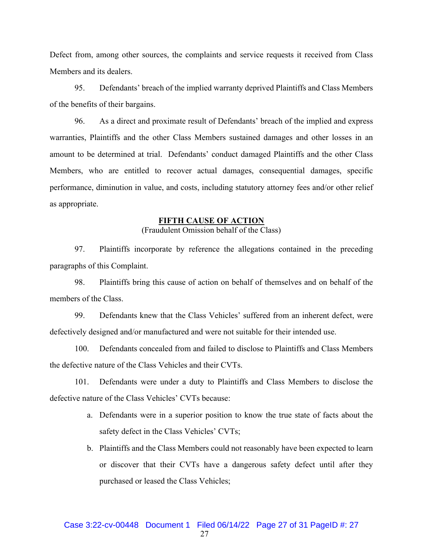Defect from, among other sources, the complaints and service requests it received from Class Members and its dealers.

95. Defendants' breach of the implied warranty deprived Plaintiffs and Class Members of the benefits of their bargains.

96. As a direct and proximate result of Defendants' breach of the implied and express warranties, Plaintiffs and the other Class Members sustained damages and other losses in an amount to be determined at trial. Defendants' conduct damaged Plaintiffs and the other Class Members, who are entitled to recover actual damages, consequential damages, specific performance, diminution in value, and costs, including statutory attorney fees and/or other relief as appropriate.

#### **FIFTH CAUSE OF ACTION**

(Fraudulent Omission behalf of the Class)

97. Plaintiffs incorporate by reference the allegations contained in the preceding paragraphs of this Complaint.

98. Plaintiffs bring this cause of action on behalf of themselves and on behalf of the members of the Class.

99. Defendants knew that the Class Vehicles' suffered from an inherent defect, were defectively designed and/or manufactured and were not suitable for their intended use.

100. Defendants concealed from and failed to disclose to Plaintiffs and Class Members the defective nature of the Class Vehicles and their CVTs.

101. Defendants were under a duty to Plaintiffs and Class Members to disclose the defective nature of the Class Vehicles' CVTs because:

- a. Defendants were in a superior position to know the true state of facts about the safety defect in the Class Vehicles' CVTs;
- b. Plaintiffs and the Class Members could not reasonably have been expected to learn or discover that their CVTs have a dangerous safety defect until after they purchased or leased the Class Vehicles;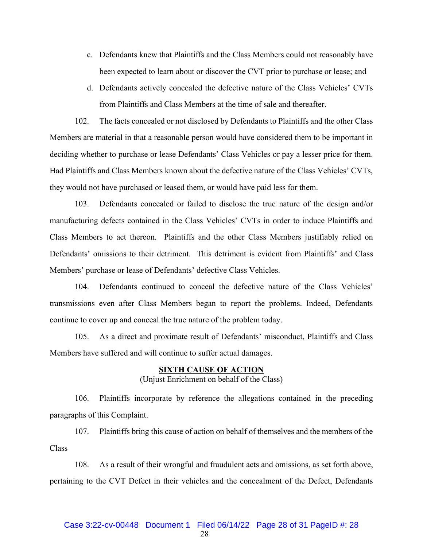- c. Defendants knew that Plaintiffs and the Class Members could not reasonably have been expected to learn about or discover the CVT prior to purchase or lease; and
- d. Defendants actively concealed the defective nature of the Class Vehicles' CVTs from Plaintiffs and Class Members at the time of sale and thereafter.

102. The facts concealed or not disclosed by Defendants to Plaintiffs and the other Class Members are material in that a reasonable person would have considered them to be important in deciding whether to purchase or lease Defendants' Class Vehicles or pay a lesser price for them. Had Plaintiffs and Class Members known about the defective nature of the Class Vehicles' CVTs, they would not have purchased or leased them, or would have paid less for them.

103. Defendants concealed or failed to disclose the true nature of the design and/or manufacturing defects contained in the Class Vehicles' CVTs in order to induce Plaintiffs and Class Members to act thereon. Plaintiffs and the other Class Members justifiably relied on Defendants' omissions to their detriment. This detriment is evident from Plaintiffs' and Class Members' purchase or lease of Defendants' defective Class Vehicles.

104. Defendants continued to conceal the defective nature of the Class Vehicles' transmissions even after Class Members began to report the problems. Indeed, Defendants continue to cover up and conceal the true nature of the problem today.

105. As a direct and proximate result of Defendants' misconduct, Plaintiffs and Class Members have suffered and will continue to suffer actual damages.

## **SIXTH CAUSE OF ACTION**  (Unjust Enrichment on behalf of the Class)

106. Plaintiffs incorporate by reference the allegations contained in the preceding paragraphs of this Complaint.

107. Plaintiffs bring this cause of action on behalf of themselves and the members of the Class

108. As a result of their wrongful and fraudulent acts and omissions, as set forth above, pertaining to the CVT Defect in their vehicles and the concealment of the Defect, Defendants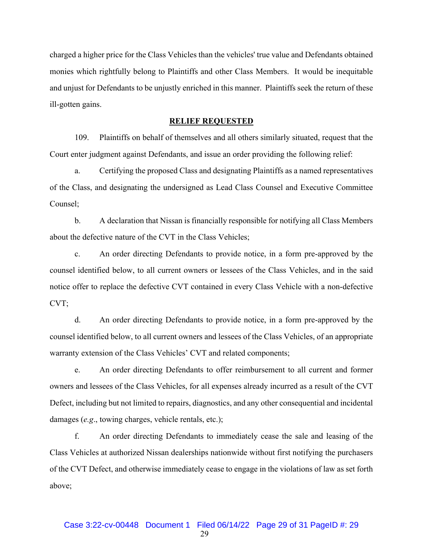charged a higher price for the Class Vehicles than the vehicles' true value and Defendants obtained monies which rightfully belong to Plaintiffs and other Class Members. It would be inequitable and unjust for Defendants to be unjustly enriched in this manner. Plaintiffs seek the return of these ill-gotten gains.

## **RELIEF REQUESTED**

109. Plaintiffs on behalf of themselves and all others similarly situated, request that the Court enter judgment against Defendants, and issue an order providing the following relief:

a. Certifying the proposed Class and designating Plaintiffs as a named representatives of the Class, and designating the undersigned as Lead Class Counsel and Executive Committee Counsel;

b. A declaration that Nissan is financially responsible for notifying all Class Members about the defective nature of the CVT in the Class Vehicles;

c. An order directing Defendants to provide notice, in a form pre-approved by the counsel identified below, to all current owners or lessees of the Class Vehicles, and in the said notice offer to replace the defective CVT contained in every Class Vehicle with a non-defective CVT;

d. An order directing Defendants to provide notice, in a form pre-approved by the counsel identified below, to all current owners and lessees of the Class Vehicles, of an appropriate warranty extension of the Class Vehicles' CVT and related components;

e. An order directing Defendants to offer reimbursement to all current and former owners and lessees of the Class Vehicles, for all expenses already incurred as a result of the CVT Defect, including but not limited to repairs, diagnostics, and any other consequential and incidental damages (*e.g*., towing charges, vehicle rentals, etc.);

f. An order directing Defendants to immediately cease the sale and leasing of the Class Vehicles at authorized Nissan dealerships nationwide without first notifying the purchasers of the CVT Defect, and otherwise immediately cease to engage in the violations of law as set forth above;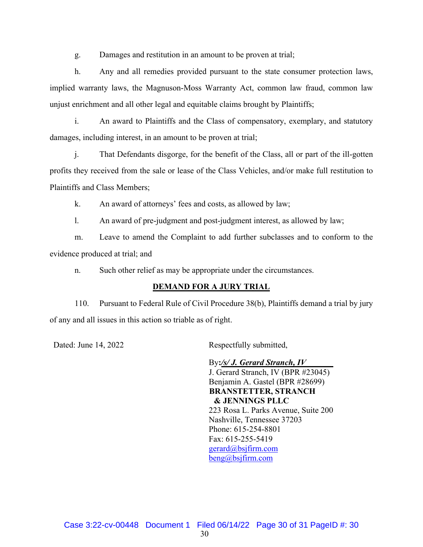g. Damages and restitution in an amount to be proven at trial;

h. Any and all remedies provided pursuant to the state consumer protection laws, implied warranty laws, the Magnuson-Moss Warranty Act, common law fraud, common law unjust enrichment and all other legal and equitable claims brought by Plaintiffs;

i. An award to Plaintiffs and the Class of compensatory, exemplary, and statutory damages, including interest, in an amount to be proven at trial;

j. That Defendants disgorge, for the benefit of the Class, all or part of the ill-gotten profits they received from the sale or lease of the Class Vehicles, and/or make full restitution to Plaintiffs and Class Members;

k. An award of attorneys' fees and costs, as allowed by law;

l. An award of pre-judgment and post-judgment interest, as allowed by law;

m. Leave to amend the Complaint to add further subclasses and to conform to the evidence produced at trial; and

n. Such other relief as may be appropriate under the circumstances.

## **DEMAND FOR A JURY TRIAL**

110. Pursuant to Federal Rule of Civil Procedure 38(b), Plaintiffs demand a trial by jury of any and all issues in this action so triable as of right.

Dated: June 14, 2022 Respectfully submitted,

By**:***/s/ J. Gerard Stranch, IV* J. Gerard Stranch, IV (BPR #23045) Benjamin A. Gastel (BPR #28699)  **BRANSTETTER, STRANCH & JENNINGS PLLC**  223 Rosa L. Parks Avenue, Suite 200 Nashville, Tennessee 37203 Phone: 615-254-8801 Fax: 615-255-5419 gerard@bsjfirm.com beng@bsjfirm.com

Case 3:22-cv-00448 Document 1 Filed 06/14/22 Page 30 of 31 PageID #: 30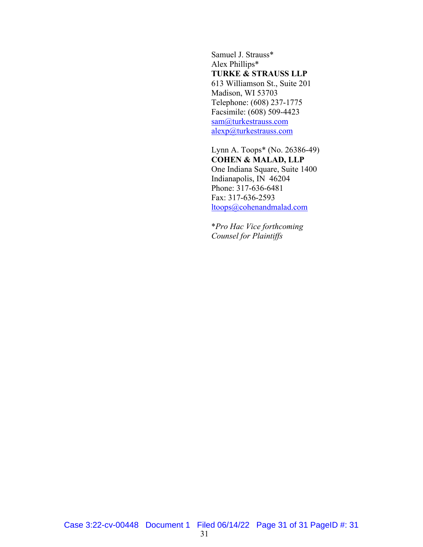Samuel J. Strauss\* Alex Phillips\* **TURKE & STRAUSS LLP**  613 Williamson St., Suite 201 Madison, WI 53703 Telephone: (608) 237-1775 Facsimile: (608) 509-4423 sam@turkestrauss.com alexp@turkestrauss.com

Lynn A. Toops\* (No. 26386-49) **COHEN & MALAD, LLP**  One Indiana Square, Suite 1400 Indianapolis, IN 46204 Phone: 317-636-6481 Fax: 317-636-2593 ltoops@cohenandmalad.com

\**Pro Hac Vice forthcoming Counsel for Plaintiffs*